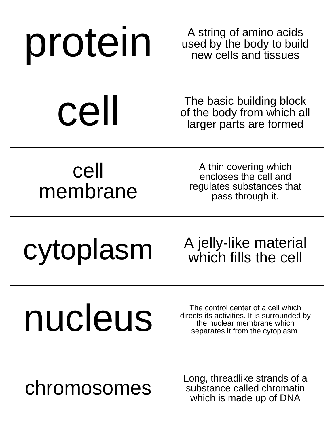| protein          | A string of amino acids<br>used by the body to build<br>new cells and tissues                                                                       |
|------------------|-----------------------------------------------------------------------------------------------------------------------------------------------------|
| cell             | The basic building block<br>of the body from which all<br>larger parts are formed                                                                   |
| cell<br>membrane | A thin covering which<br>encloses the cell and<br>regulates substances that<br>pass through it.                                                     |
| cytoplasm        | A jelly-like material<br>which fills the cell                                                                                                       |
|                  |                                                                                                                                                     |
| nucleus          | The control center of a cell which<br>directs its activities. It is surrounded by<br>the nuclear membrane which<br>separates it from the cytoplasm. |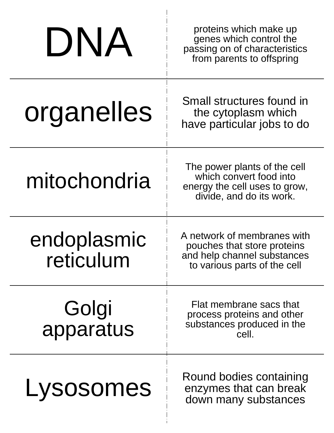| DNA                      | proteins which make up<br>genes which control the<br>passing on of characteristics<br>from parents to offspring           |
|--------------------------|---------------------------------------------------------------------------------------------------------------------------|
| organelles               | Small structures found in<br>the cytoplasm which<br>have particular jobs to do                                            |
| mitochondria             | The power plants of the cell<br>which convert food into<br>energy the cell uses to grow,<br>divide, and do its work.      |
| endoplasmic<br>reticulum | A network of membranes with<br>pouches that store proteins<br>and help channel substances<br>to various parts of the cell |
| Golgi<br>apparatus       | Flat membrane sacs that<br>process proteins and other<br>substances produced in the<br>cell.                              |
| Lysosomes                | Round bodies containing<br>enzymes that can break<br>down many substances                                                 |